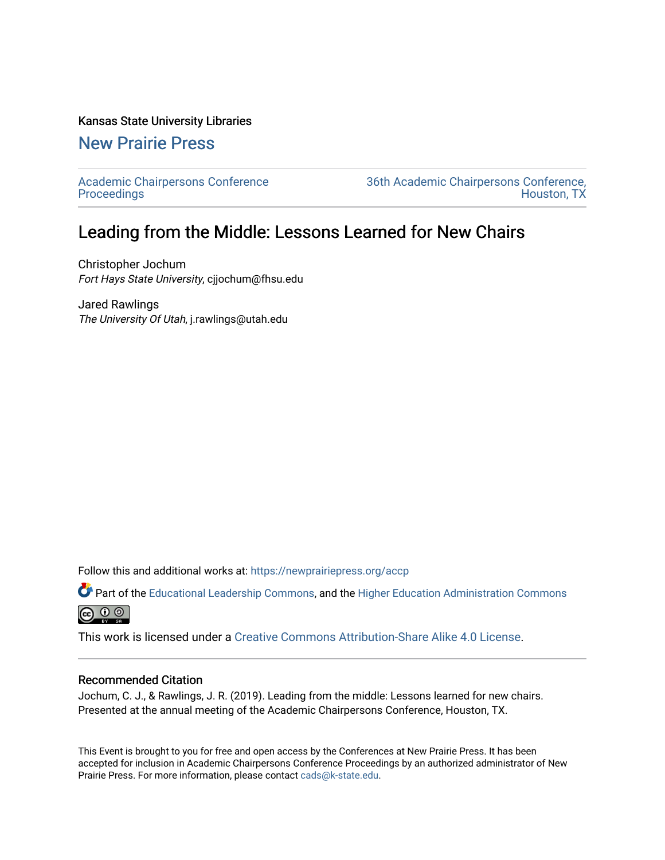#### Kansas State University Libraries

## [New Prairie Press](https://newprairiepress.org/)

[Academic Chairpersons Conference](https://newprairiepress.org/accp)  **Proceedings** 

[36th Academic Chairpersons Conference,](https://newprairiepress.org/accp/2019)  [Houston, TX](https://newprairiepress.org/accp/2019) 

# Leading from the Middle: Lessons Learned for New Chairs

Christopher Jochum Fort Hays State University, cjjochum@fhsu.edu

Jared Rawlings The University Of Utah, j.rawlings@utah.edu

Follow this and additional works at: [https://newprairiepress.org/accp](https://newprairiepress.org/accp?utm_source=newprairiepress.org%2Faccp%2F2019%2Fleadership%2F11&utm_medium=PDF&utm_campaign=PDFCoverPages) 

Part of the [Educational Leadership Commons,](http://network.bepress.com/hgg/discipline/1230?utm_source=newprairiepress.org%2Faccp%2F2019%2Fleadership%2F11&utm_medium=PDF&utm_campaign=PDFCoverPages) and the [Higher Education Administration Commons](http://network.bepress.com/hgg/discipline/791?utm_source=newprairiepress.org%2Faccp%2F2019%2Fleadership%2F11&utm_medium=PDF&utm_campaign=PDFCoverPages)  $\bigcirc$   $\bigcirc$   $\bigcirc$ 

This work is licensed under a [Creative Commons Attribution-Share Alike 4.0 License.](https://creativecommons.org/licenses/by-sa/4.0/)

#### Recommended Citation

Jochum, C. J., & Rawlings, J. R. (2019). Leading from the middle: Lessons learned for new chairs. Presented at the annual meeting of the Academic Chairpersons Conference, Houston, TX.

This Event is brought to you for free and open access by the Conferences at New Prairie Press. It has been accepted for inclusion in Academic Chairpersons Conference Proceedings by an authorized administrator of New Prairie Press. For more information, please contact [cads@k-state.edu.](mailto:cads@k-state.edu)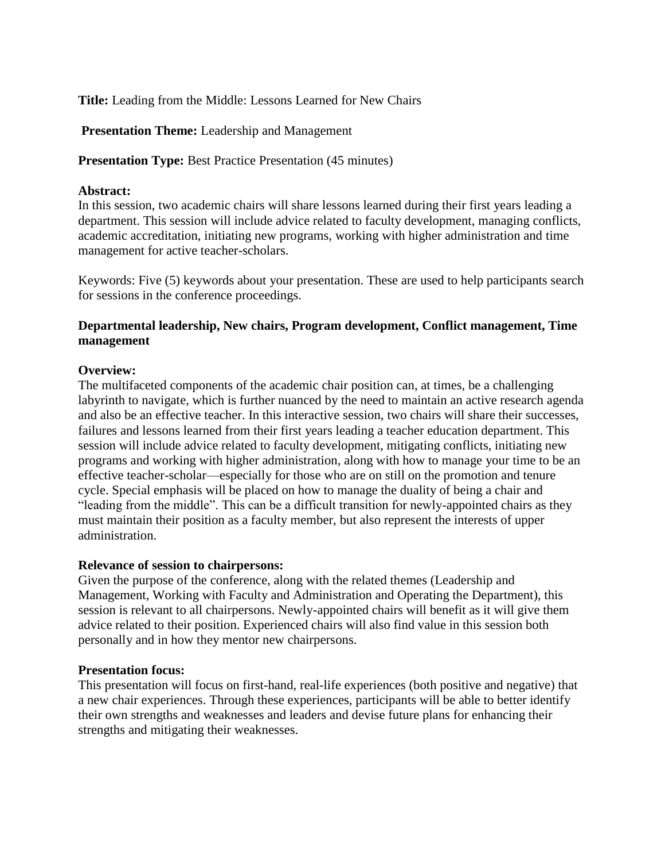**Title:** Leading from the Middle: Lessons Learned for New Chairs

**Presentation Theme:** Leadership and Management

**Presentation Type:** Best Practice Presentation (45 minutes)

#### **Abstract:**

In this session, two academic chairs will share lessons learned during their first years leading a department. This session will include advice related to faculty development, managing conflicts, academic accreditation, initiating new programs, working with higher administration and time management for active teacher-scholars.

Keywords: Five (5) keywords about your presentation. These are used to help participants search for sessions in the conference proceedings.

### **Departmental leadership, New chairs, Program development, Conflict management, Time management**

#### **Overview:**

The multifaceted components of the academic chair position can, at times, be a challenging labyrinth to navigate, which is further nuanced by the need to maintain an active research agenda and also be an effective teacher. In this interactive session, two chairs will share their successes, failures and lessons learned from their first years leading a teacher education department. This session will include advice related to faculty development, mitigating conflicts, initiating new programs and working with higher administration, along with how to manage your time to be an effective teacher-scholar—especially for those who are on still on the promotion and tenure cycle. Special emphasis will be placed on how to manage the duality of being a chair and "leading from the middle". This can be a difficult transition for newly-appointed chairs as they must maintain their position as a faculty member, but also represent the interests of upper administration.

#### **Relevance of session to chairpersons:**

Given the purpose of the conference, along with the related themes (Leadership and Management, Working with Faculty and Administration and Operating the Department), this session is relevant to all chairpersons. Newly-appointed chairs will benefit as it will give them advice related to their position. Experienced chairs will also find value in this session both personally and in how they mentor new chairpersons.

#### **Presentation focus:**

This presentation will focus on first-hand, real-life experiences (both positive and negative) that a new chair experiences. Through these experiences, participants will be able to better identify their own strengths and weaknesses and leaders and devise future plans for enhancing their strengths and mitigating their weaknesses.